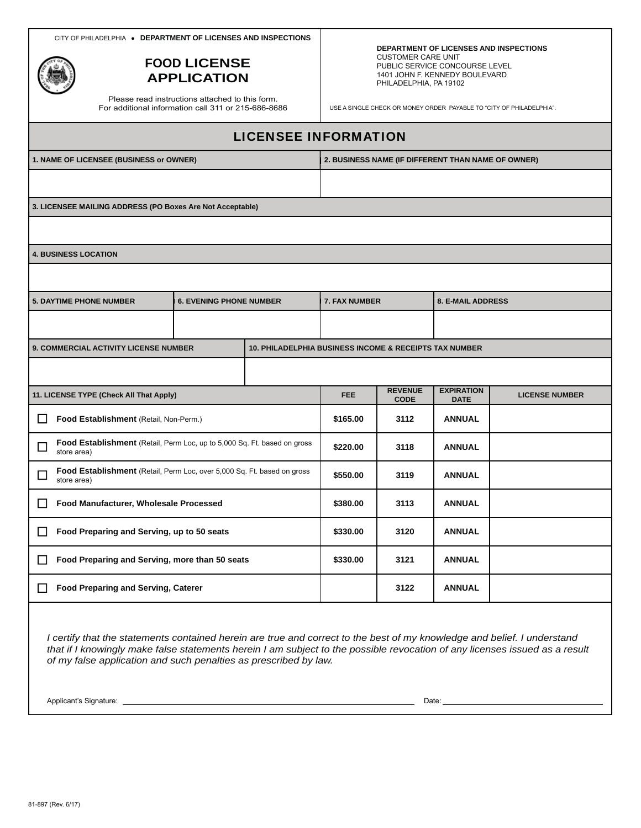| <b>FOOD LICENSE</b><br><b>APPLICATION</b><br>Please read instructions attached to this form.<br>For additional information call 311 or 215-686-8686                                                                                                                                                                                                                    |                                |                                                        | <b>DEPARTMENT OF LICENSES AND INSPECTIONS</b><br><b>CUSTOMER CARE UNIT</b><br>PUBLIC SERVICE CONCOURSE LEVEL<br>1401 JOHN F. KENNEDY BOULEVARD<br>PHILADELPHIA, PA 19102<br>USE A SINGLE CHECK OR MONEY ORDER PAYABLE TO "CITY OF PHILADELPHIA". |                |                   |                       |
|------------------------------------------------------------------------------------------------------------------------------------------------------------------------------------------------------------------------------------------------------------------------------------------------------------------------------------------------------------------------|--------------------------------|--------------------------------------------------------|--------------------------------------------------------------------------------------------------------------------------------------------------------------------------------------------------------------------------------------------------|----------------|-------------------|-----------------------|
|                                                                                                                                                                                                                                                                                                                                                                        |                                | <b>LICENSEE INFORMATION</b>                            |                                                                                                                                                                                                                                                  |                |                   |                       |
| 1. NAME OF LICENSEE (BUSINESS or OWNER)                                                                                                                                                                                                                                                                                                                                |                                |                                                        | 2. BUSINESS NAME (IF DIFFERENT THAN NAME OF OWNER)                                                                                                                                                                                               |                |                   |                       |
|                                                                                                                                                                                                                                                                                                                                                                        |                                |                                                        |                                                                                                                                                                                                                                                  |                |                   |                       |
| 3. LICENSEE MAILING ADDRESS (PO Boxes Are Not Acceptable)                                                                                                                                                                                                                                                                                                              |                                |                                                        |                                                                                                                                                                                                                                                  |                |                   |                       |
|                                                                                                                                                                                                                                                                                                                                                                        |                                |                                                        |                                                                                                                                                                                                                                                  |                |                   |                       |
| <b>4. BUSINESS LOCATION</b>                                                                                                                                                                                                                                                                                                                                            |                                |                                                        |                                                                                                                                                                                                                                                  |                |                   |                       |
|                                                                                                                                                                                                                                                                                                                                                                        |                                |                                                        |                                                                                                                                                                                                                                                  |                |                   |                       |
| <b>5. DAYTIME PHONE NUMBER</b>                                                                                                                                                                                                                                                                                                                                         | <b>6. EVENING PHONE NUMBER</b> |                                                        | <b>7. FAX NUMBER</b>                                                                                                                                                                                                                             |                | 8. E-MAIL ADDRESS |                       |
|                                                                                                                                                                                                                                                                                                                                                                        |                                |                                                        |                                                                                                                                                                                                                                                  |                |                   |                       |
| <b>9. COMMERCIAL ACTIVITY LICENSE NUMBER</b>                                                                                                                                                                                                                                                                                                                           |                                | 10. PHILADELPHIA BUSINESS INCOME & RECEIPTS TAX NUMBER |                                                                                                                                                                                                                                                  |                |                   |                       |
|                                                                                                                                                                                                                                                                                                                                                                        |                                |                                                        |                                                                                                                                                                                                                                                  | <b>REVENUE</b> | <b>EXPIRATION</b> |                       |
| 11. LICENSE TYPE (Check All That Apply)                                                                                                                                                                                                                                                                                                                                |                                |                                                        | <b>FEE</b>                                                                                                                                                                                                                                       | <b>CODE</b>    | <b>DATE</b>       | <b>LICENSE NUMBER</b> |
| Food Establishment (Retail, Non-Perm.)                                                                                                                                                                                                                                                                                                                                 |                                |                                                        | \$165.00                                                                                                                                                                                                                                         | 3112           | <b>ANNUAL</b>     |                       |
| <b>Food Establishment</b> (Retail, Perm Loc, up to 5,000 Sq. Ft. based on gross<br>$\mathcal{L}$<br>store area)                                                                                                                                                                                                                                                        |                                |                                                        | \$220.00                                                                                                                                                                                                                                         | 3118           | <b>ANNUAL</b>     |                       |
| <b>Food Establishment</b> (Retail, Perm Loc, over 5,000 Sq. Ft. based on gross<br>$\mathcal{L}_{\mathcal{A}}$<br>store area)                                                                                                                                                                                                                                           |                                |                                                        | \$550.00                                                                                                                                                                                                                                         | 3119           | <b>ANNUAL</b>     |                       |
| Food Manufacturer, Wholesale Processed                                                                                                                                                                                                                                                                                                                                 |                                |                                                        | \$380.00                                                                                                                                                                                                                                         | 3113           | <b>ANNUAL</b>     |                       |
| Food Preparing and Serving, up to 50 seats                                                                                                                                                                                                                                                                                                                             |                                |                                                        | \$330.00                                                                                                                                                                                                                                         | 3120           | <b>ANNUAL</b>     |                       |
| Food Preparing and Serving, more than 50 seats                                                                                                                                                                                                                                                                                                                         |                                |                                                        | \$330.00                                                                                                                                                                                                                                         | 3121           | <b>ANNUAL</b>     |                       |
| <b>Food Preparing and Serving, Caterer</b>                                                                                                                                                                                                                                                                                                                             |                                |                                                        |                                                                                                                                                                                                                                                  | 3122           | <b>ANNUAL</b>     |                       |
| I certify that the statements contained herein are true and correct to the best of my knowledge and belief. I understand<br>that if I knowingly make false statements herein I am subject to the possible revocation of any licenses issued as a result<br>of my false application and such penalties as prescribed by law.<br>Date: <u>__________________________</u> |                                |                                                        |                                                                                                                                                                                                                                                  |                |                   |                       |

 $\overline{\phantom{a}}$ 

CITY OF PHILADELPHIA ● **DEPARTMENT OF LICENSES AND INSPECTIONS**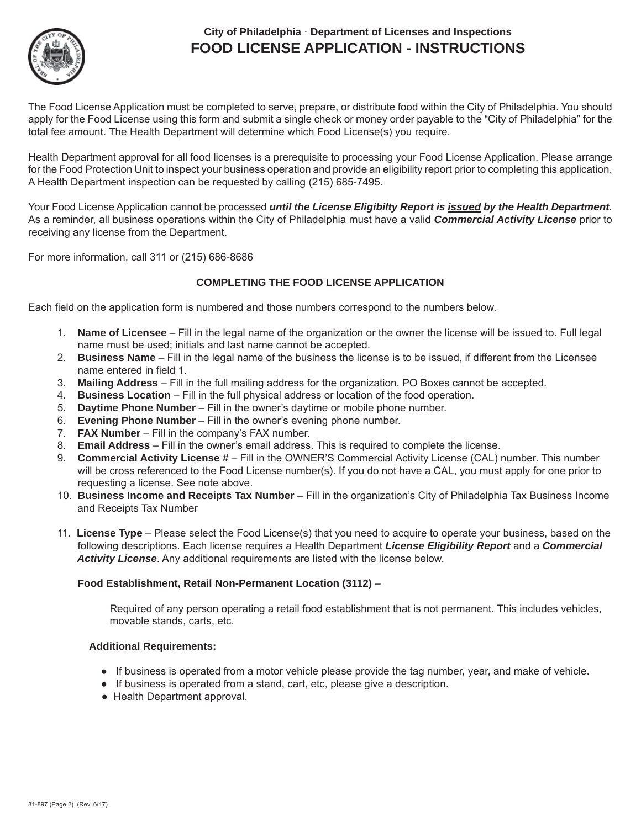

# **City of Philadelphia** · **Department of Licenses and Inspections FOOD LICENSE APPLICATION - INSTRUCTIONS**

The Food License Application must be completed to serve, prepare, or distribute food within the City of Philadelphia. You should apply for the Food License using this form and submit a single check or money order payable to the "City of Philadelphia" for the total fee amount. The Health Department will determine which Food License(s) you require.

Health Department approval for all food licenses is a prerequisite to processing your Food License Application. Please arrange for the Food Protection Unit to inspect your business operation and provide an eligibility report prior to completing this application. A Health Department inspection can be requested by calling (215) 685-7495.

Your Food License Application cannot be processed *until the License Eligibilty Report is issued by the Health Department.*  As a reminder, all business operations within the City of Philadelphia must have a valid *Commercial Activity License* prior to receiving any license from the Department.

For more information, call 311 or (215) 686-8686

# **COMPLETING THE FOOD LICENSE APPLICATION**

Each field on the application form is numbered and those numbers correspond to the numbers below.

- 1. **Name of Licensee**  Fill in the legal name of the organization or the owner the license will be issued to. Full legal name must be used; initials and last name cannot be accepted.
- 2. **Business Name**  Fill in the legal name of the business the license is to be issued, if different from the Licensee name entered in field 1.
- 3. **Mailing Address**  Fill in the full mailing address for the organization. PO Boxes cannot be accepted.
- 4. **Business Location**  Fill in the full physical address or location of the food operation.
- 5. **Daytime Phone Number**  Fill in the owner's daytime or mobile phone number.
- 6. **Evening Phone Number**  Fill in the owner's evening phone number.
- 7. **FAX Number**  Fill in the company's FAX number.
- 8. **Email Address**  Fill in the owner's email address. This is required to complete the license.
- 9. **Commercial Activity License #**  Fill in the OWNER'S Commercial Activity License (CAL) number. This number will be cross referenced to the Food License number(s). If you do not have a CAL, you must apply for one prior to requesting a license. See note above.
- 10. **Business Income and Receipts Tax Number**  Fill in the organization's City of Philadelphia Tax Business Income and Receipts Tax Number
- 11. **License Type**  Please select the Food License(s) that you need to acquire to operate your business, based on the following descriptions. Each license requires a Health Department *License Eligibility Report* and a *Commercial Activity License*. Any additional requirements are listed with the license below.

#### **Food Establishment, Retail Non-Permanent Location (3112)** –

 Required of any person operating a retail food establishment that is not permanent. This includes vehicles, movable stands, carts, etc.

#### **Additional Requirements:**

- If business is operated from a motor vehicle please provide the tag number, year, and make of vehicle.
- If business is operated from a stand, cart, etc, please give a description.
- Health Department approval.